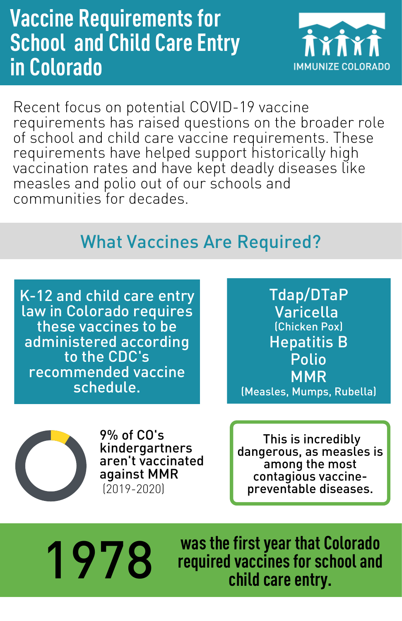## **Vaccine Requirements for School and Child Care Entry in Colorado**



Recent focus on potential COVID-19 vaccine requirements has raised questions on the broader role of school and child care vaccine requirements. These requirements have helped support historically high vaccination rates and have kept deadly diseases like measles and polio out of our schools and communities for decades.

## What Vaccines Are Required?

K-12 and child care entry law in Colorado requires these vaccines to be administered according to the CDC's recommended vaccine schedule.

Tdap/DTaP Varicella (Chicken Pox) Hepatitis B Polio MMR (Measles, Mumps, Rubella)



9% of CO's kindergartners aren't vaccinated against MMR (2019-2020)

This is incredibly dangerous, as measles is among the most contagious vaccinepreventable diseases.

**wasthefirstyear that Colorado 1978 required vaccines for schooland 1978 changing vectors** for school  $\frac{1}{2}$